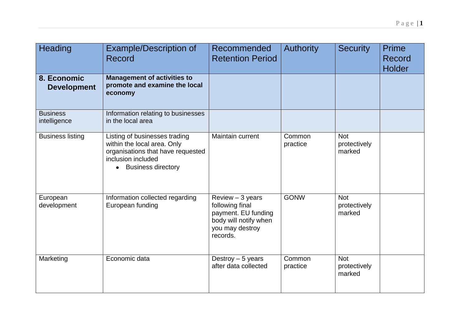| Heading                           | <b>Example/Description of</b><br>Record                                                                                                         | <b>Recommended</b><br><b>Retention Period</b>                                                                        | <b>Authority</b>   | <b>Security</b>                      | <b>Prime</b><br>Record<br><b>Holder</b> |
|-----------------------------------|-------------------------------------------------------------------------------------------------------------------------------------------------|----------------------------------------------------------------------------------------------------------------------|--------------------|--------------------------------------|-----------------------------------------|
| 8. Economic<br><b>Development</b> | <b>Management of activities to</b><br>promote and examine the local<br>economy                                                                  |                                                                                                                      |                    |                                      |                                         |
| <b>Business</b><br>intelligence   | Information relating to businesses<br>in the local area                                                                                         |                                                                                                                      |                    |                                      |                                         |
| <b>Business listing</b>           | Listing of businesses trading<br>within the local area. Only<br>organisations that have requested<br>inclusion included<br>• Business directory | Maintain current                                                                                                     | Common<br>practice | <b>Not</b><br>protectively<br>marked |                                         |
| European<br>development           | Information collected regarding<br>European funding                                                                                             | $Review - 3 years$<br>following final<br>payment. EU funding<br>body will notify when<br>you may destroy<br>records. | <b>GONW</b>        | <b>Not</b><br>protectively<br>marked |                                         |
| Marketing                         | Economic data                                                                                                                                   | Destroy $-5$ years<br>after data collected                                                                           | Common<br>practice | <b>Not</b><br>protectively<br>marked |                                         |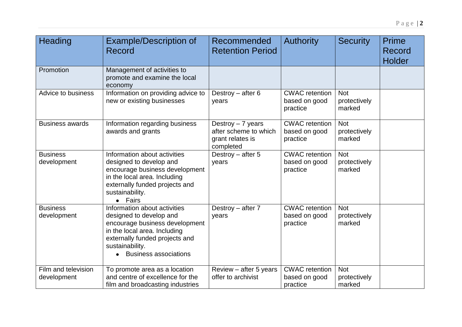| Heading                            | <b>Example/Description of</b><br>Record                                                                                                                                                                        | Recommended<br><b>Retention Period</b>                                       | <b>Authority</b>                                   | <b>Security</b>                      | <b>Prime</b><br>Record<br><b>Holder</b> |
|------------------------------------|----------------------------------------------------------------------------------------------------------------------------------------------------------------------------------------------------------------|------------------------------------------------------------------------------|----------------------------------------------------|--------------------------------------|-----------------------------------------|
| Promotion                          | Management of activities to<br>promote and examine the local<br>economy                                                                                                                                        |                                                                              |                                                    |                                      |                                         |
| Advice to business                 | Information on providing advice to<br>new or existing businesses                                                                                                                                               | Destroy $-$ after 6<br>years                                                 | <b>CWAC</b> retention<br>based on good<br>practice | <b>Not</b><br>protectively<br>marked |                                         |
| <b>Business awards</b>             | Information regarding business<br>awards and grants                                                                                                                                                            | Destroy $-7$ years<br>after scheme to which<br>grant relates is<br>completed | <b>CWAC</b> retention<br>based on good<br>practice | <b>Not</b><br>protectively<br>marked |                                         |
| <b>Business</b><br>development     | Information about activities<br>designed to develop and<br>encourage business development<br>in the local area. Including<br>externally funded projects and<br>sustainability.<br>• Fairs                      | Destroy $-$ after 5<br>years                                                 | <b>CWAC</b> retention<br>based on good<br>practice | <b>Not</b><br>protectively<br>marked |                                         |
| <b>Business</b><br>development     | Information about activities<br>designed to develop and<br>encourage business development<br>in the local area. Including<br>externally funded projects and<br>sustainability.<br><b>Business associations</b> | Destroy - after 7<br>years                                                   | <b>CWAC</b> retention<br>based on good<br>practice | <b>Not</b><br>protectively<br>marked |                                         |
| Film and television<br>development | To promote area as a location<br>and centre of excellence for the<br>film and broadcasting industries                                                                                                          | Review - after 5 years<br>offer to archivist                                 | <b>CWAC</b> retention<br>based on good<br>practice | <b>Not</b><br>protectively<br>marked |                                         |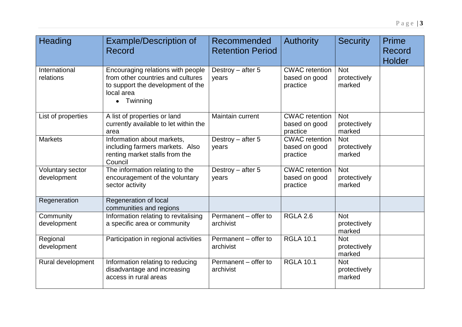| Heading                         | <b>Example/Description of</b><br>Record                                                                                                         | Recommended<br><b>Retention Period</b> | <b>Authority</b>                                   | <b>Security</b>                      | Prime<br>Record<br>Holder |
|---------------------------------|-------------------------------------------------------------------------------------------------------------------------------------------------|----------------------------------------|----------------------------------------------------|--------------------------------------|---------------------------|
| International<br>relations      | Encouraging relations with people<br>from other countries and cultures<br>to support the development of the<br>local area<br>$\bullet$ Twinning | Destroy $-$ after 5<br>years           | <b>CWAC</b> retention<br>based on good<br>practice | <b>Not</b><br>protectively<br>marked |                           |
| List of properties              | A list of properties or land<br>currently available to let within the<br>area                                                                   | Maintain current                       | <b>CWAC</b> retention<br>based on good<br>practice | <b>Not</b><br>protectively<br>marked |                           |
| <b>Markets</b>                  | Information about markets,<br>including farmers markets. Also<br>renting market stalls from the<br>Council                                      | Destroy $-$ after 5<br>years           | <b>CWAC</b> retention<br>based on good<br>practice | <b>Not</b><br>protectively<br>marked |                           |
| Voluntary sector<br>development | The information relating to the<br>encouragement of the voluntary<br>sector activity                                                            | Destroy $-$ after 5<br>years           | <b>CWAC</b> retention<br>based on good<br>practice | <b>Not</b><br>protectively<br>marked |                           |
| Regeneration                    | Regeneration of local<br>communities and regions                                                                                                |                                        |                                                    |                                      |                           |
| Community<br>development        | Information relating to revitalising<br>a specific area or community                                                                            | Permanent - offer to<br>archivist      | <b>RGLA 2.6</b>                                    | <b>Not</b><br>protectively<br>marked |                           |
| Regional<br>development         | Participation in regional activities                                                                                                            | Permanent - offer to<br>archivist      | <b>RGLA 10.1</b>                                   | <b>Not</b><br>protectively<br>marked |                           |
| Rural development               | Information relating to reducing<br>disadvantage and increasing<br>access in rural areas                                                        | Permanent - offer to<br>archivist      | <b>RGLA 10.1</b>                                   | <b>Not</b><br>protectively<br>marked |                           |